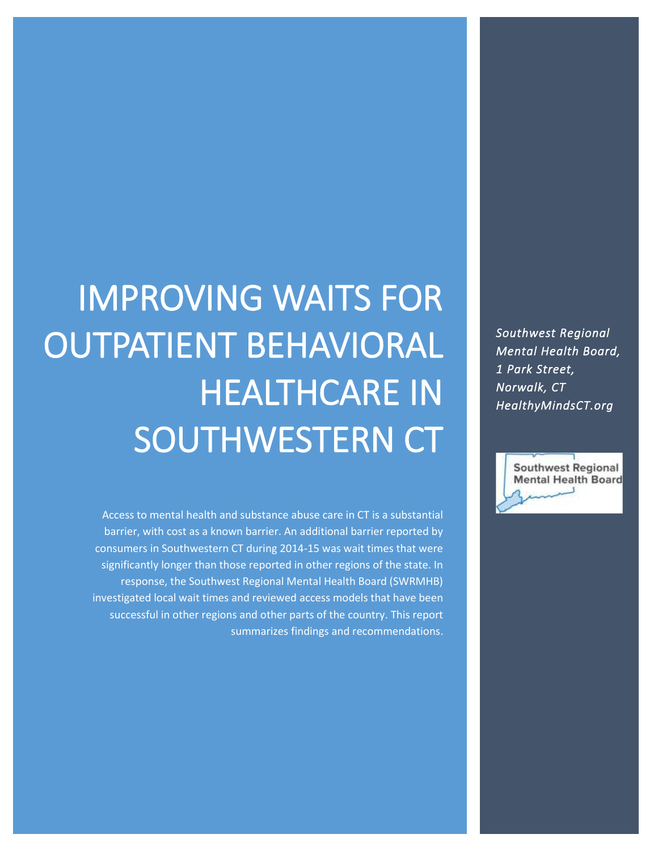*Southwest Regional Mental Health Board, 1 Park Street, Norwalk, CT HealthyMindsCT.org* 



# IMPROVING WAITS FOR OUTPATIENT BEHAVIORAL HEALTHCARE IN SOUTHWESTERN CT

Access to mental health and substance abuse care in CT is a substantial barrier, with cost as a known barrier. An additional barrier reported by consumers in Southwestern CT during 2014-15 was wait times that were significantly longer than those reported in other regions of the state. In response, the Southwest Regional Mental Health Board (SWRMHB) investigated local wait times and reviewed access models that have been successful in other regions and other parts of the country. This report summarizes findings and recommendations.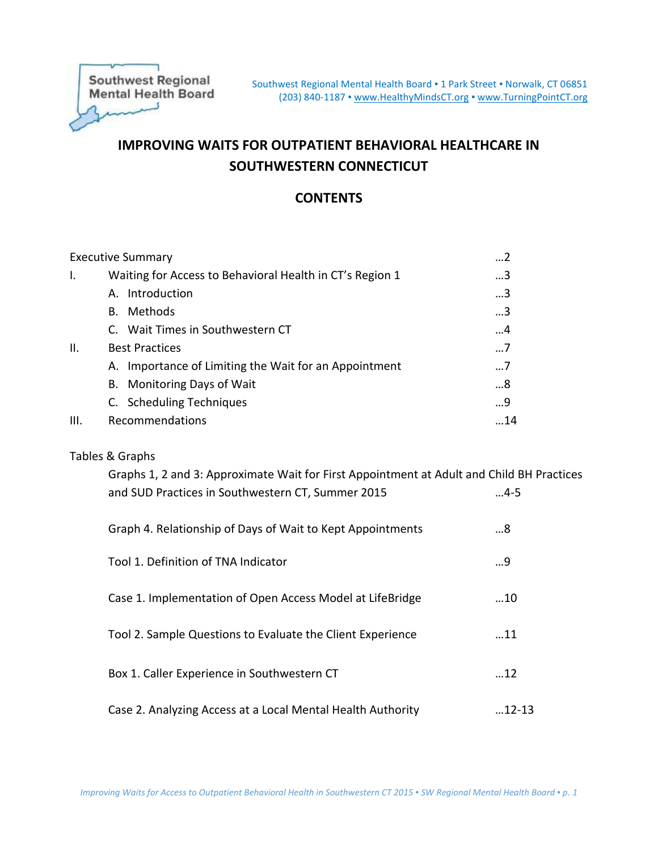**Southwest Regional Mental Health Board** لسعد

# **IMPROVING WAITS FOR OUTPATIENT BEHAVIORAL HEALTHCARE IN SOUTHWESTERN CONNECTICUT**

## **CONTENTS**

|      | <b>Executive Summary</b>                                 | 2           |
|------|----------------------------------------------------------|-------------|
| Ι.   | Waiting for Access to Behavioral Health in CT's Region 1 | 3           |
|      | A. Introduction                                          | 3           |
|      | B. Methods                                               | 3           |
|      | C. Wait Times in Southwestern CT                         | 4           |
| H.   | <b>Best Practices</b>                                    | $\ldots$ .7 |
|      | A. Importance of Limiting the Wait for an Appointment    | 7           |
|      | B. Monitoring Days of Wait                               | 8           |
|      | C. Scheduling Techniques                                 | 9           |
| III. | Recommendations                                          | .14         |
|      |                                                          |             |

## Tables & Graphs

| Graphs 1, 2 and 3: Approximate Wait for First Appointment at Adult and Child BH Practices<br>and SUD Practices in Southwestern CT, Summer 2015 | $4-5$         |
|------------------------------------------------------------------------------------------------------------------------------------------------|---------------|
| Graph 4. Relationship of Days of Wait to Kept Appointments                                                                                     | 8             |
| Tool 1. Definition of TNA Indicator                                                                                                            | 9             |
| Case 1. Implementation of Open Access Model at LifeBridge                                                                                      | 10            |
| Tool 2. Sample Questions to Evaluate the Client Experience                                                                                     | $\dots$ 11    |
| Box 1. Caller Experience in Southwestern CT                                                                                                    | 12            |
| Case 2. Analyzing Access at a Local Mental Health Authority                                                                                    | $\dots$ 12-13 |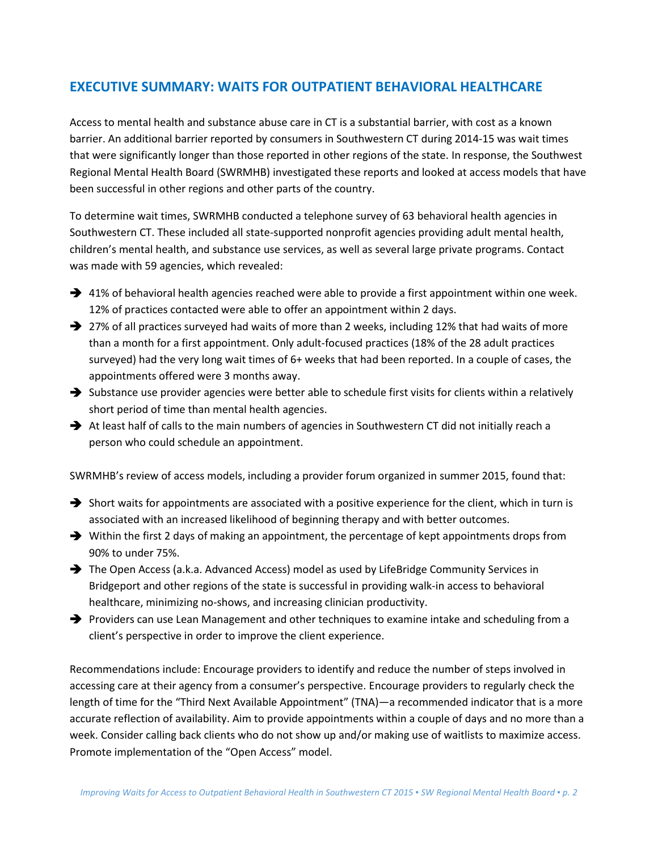# **EXECUTIVE SUMMARY: WAITS FOR OUTPATIENT BEHAVIORAL HEALTHCARE**

Access to mental health and substance abuse care in CT is a substantial barrier, with cost as a known barrier. An additional barrier reported by consumers in Southwestern CT during 2014-15 was wait times that were significantly longer than those reported in other regions of the state. In response, the Southwest Regional Mental Health Board (SWRMHB) investigated these reports and looked at access models that have been successful in other regions and other parts of the country.

To determine wait times, SWRMHB conducted a telephone survey of 63 behavioral health agencies in Southwestern CT. These included all state-supported nonprofit agencies providing adult mental health, children's mental health, and substance use services, as well as several large private programs. Contact was made with 59 agencies, which revealed:

- $\rightarrow$  41% of behavioral health agencies reached were able to provide a first appointment within one week. 12% of practices contacted were able to offer an appointment within 2 days.
- $\rightarrow$  27% of all practices surveyed had waits of more than 2 weeks, including 12% that had waits of more than a month for a first appointment. Only adult-focused practices (18% of the 28 adult practices surveyed) had the very long wait times of 6+ weeks that had been reported. In a couple of cases, the appointments offered were 3 months away.
- $\rightarrow$  Substance use provider agencies were better able to schedule first visits for clients within a relatively short period of time than mental health agencies.
- At least half of calls to the main numbers of agencies in Southwestern CT did not initially reach a person who could schedule an appointment.

SWRMHB's review of access models, including a provider forum organized in summer 2015, found that:

- $\rightarrow$  Short waits for appointments are associated with a positive experience for the client, which in turn is associated with an increased likelihood of beginning therapy and with better outcomes.
- $\rightarrow$  Within the first 2 days of making an appointment, the percentage of kept appointments drops from 90% to under 75%.
- The Open Access (a.k.a. Advanced Access) model as used by LifeBridge Community Services in Bridgeport and other regions of the state is successful in providing walk-in access to behavioral healthcare, minimizing no-shows, and increasing clinician productivity.
- Providers can use Lean Management and other techniques to examine intake and scheduling from a client's perspective in order to improve the client experience.

Recommendations include: Encourage providers to identify and reduce the number of steps involved in accessing care at their agency from a consumer's perspective. Encourage providers to regularly check the length of time for the "Third Next Available Appointment" (TNA)—a recommended indicator that is a more accurate reflection of availability. Aim to provide appointments within a couple of days and no more than a week. Consider calling back clients who do not show up and/or making use of waitlists to maximize access. Promote implementation of the "Open Access" model.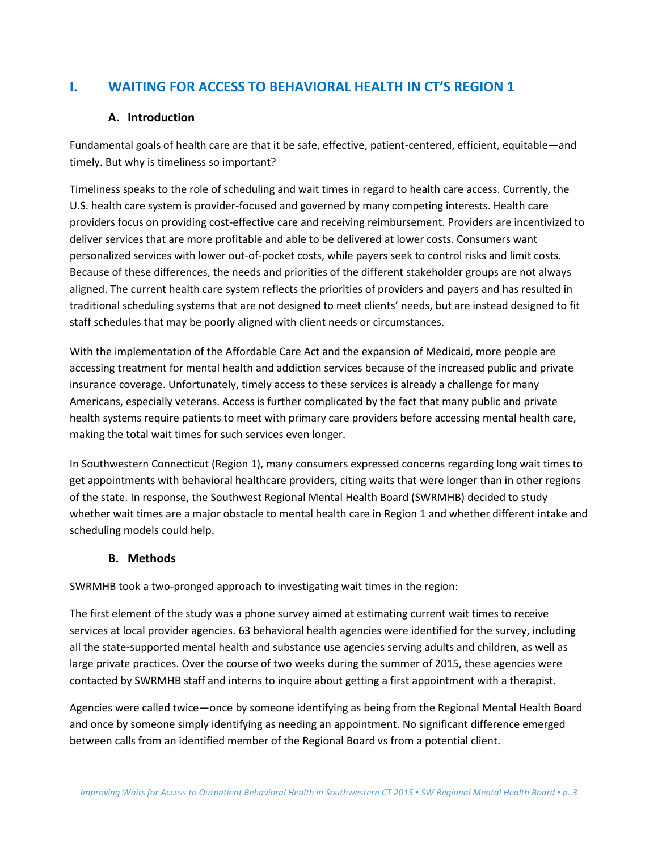# **I. WAITING FOR ACCESS TO BEHAVIORAL HEALTH IN CT'S REGION 1**

## **A. Introduction**

Fundamental goals of health care are that it be safe, effective, patient-centered, efficient, equitable—and timely. But why is timeliness so important?

Timeliness speaks to the role of scheduling and wait times in regard to health care access. Currently, the U.S. health care system is provider-focused and governed by many competing interests. Health care providers focus on providing cost-effective care and receiving reimbursement. Providers are incentivized to deliver services that are more profitable and able to be delivered at lower costs. Consumers want personalized services with lower out-of-pocket costs, while payers seek to control risks and limit costs. Because of these differences, the needs and priorities of the different stakeholder groups are not always aligned. The current health care system reflects the priorities of providers and payers and has resulted in traditional scheduling systems that are not designed to meet clients' needs, but are instead designed to fit staff schedules that may be poorly aligned with client needs or circumstances.

With the implementation of the Affordable Care Act and the expansion of Medicaid, more people are accessing treatment for mental health and addiction services because of the increased public and private insurance coverage. Unfortunately, timely access to these services is already a challenge for many Americans, especially veterans. Access is further complicated by the fact that many public and private health systems require patients to meet with primary care providers before accessing mental health care, making the total wait times for such services even longer.

In Southwestern Connecticut (Region 1), many consumers expressed concerns regarding long wait times to get appointments with behavioral healthcare providers, citing waits that were longer than in other regions of the state. In response, the Southwest Regional Mental Health Board (SWRMHB) decided to study whether wait times are a major obstacle to mental health care in Region 1 and whether different intake and scheduling models could help.

## **B. Methods**

SWRMHB took a two-pronged approach to investigating wait times in the region:

The first element of the study was a phone survey aimed at estimating current wait times to receive services at local provider agencies. 63 behavioral health agencies were identified for the survey, including all the state-supported mental health and substance use agencies serving adults and children, as well as large private practices. Over the course of two weeks during the summer of 2015, these agencies were contacted by SWRMHB staff and interns to inquire about getting a first appointment with a therapist.

Agencies were called twice—once by someone identifying as being from the Regional Mental Health Board and once by someone simply identifying as needing an appointment. No significant difference emerged between calls from an identified member of the Regional Board vs from a potential client.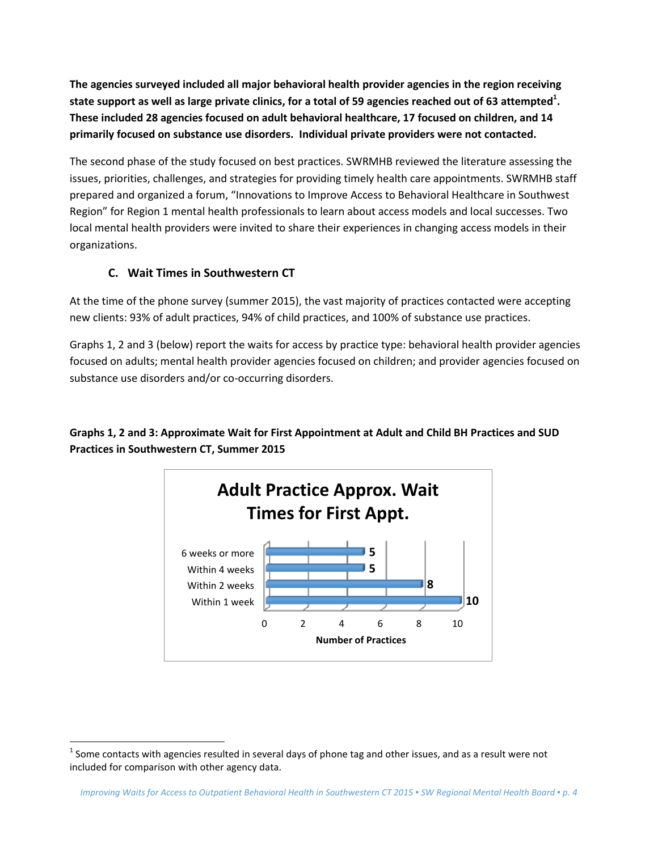**The agencies surveyed included all major behavioral health provider agencies in the region receiving state support as well as large private clinics, for a total of 59 agencies reached out of 63 attempted<sup>1</sup> . These included 28 agencies focused on adult behavioral healthcare, 17 focused on children, and 14 primarily focused on substance use disorders. Individual private providers were not contacted.**

The second phase of the study focused on best practices. SWRMHB reviewed the literature assessing the issues, priorities, challenges, and strategies for providing timely health care appointments. SWRMHB staff prepared and organized a forum, "Innovations to Improve Access to Behavioral Healthcare in Southwest Region" for Region 1 mental health professionals to learn about access models and local successes. Two local mental health providers were invited to share their experiences in changing access models in their organizations.

## **C. Wait Times in Southwestern CT**

 $\overline{a}$ 

At the time of the phone survey (summer 2015), the vast majority of practices contacted were accepting new clients: 93% of adult practices, 94% of child practices, and 100% of substance use practices.

Graphs 1, 2 and 3 (below) report the waits for access by practice type: behavioral health provider agencies focused on adults; mental health provider agencies focused on children; and provider agencies focused on substance use disorders and/or co-occurring disorders.

**Graphs 1, 2 and 3: Approximate Wait for First Appointment at Adult and Child BH Practices and SUD Practices in Southwestern CT, Summer 2015**



 $^1$  Some contacts with agencies resulted in several days of phone tag and other issues, and as a result were not included for comparison with other agency data.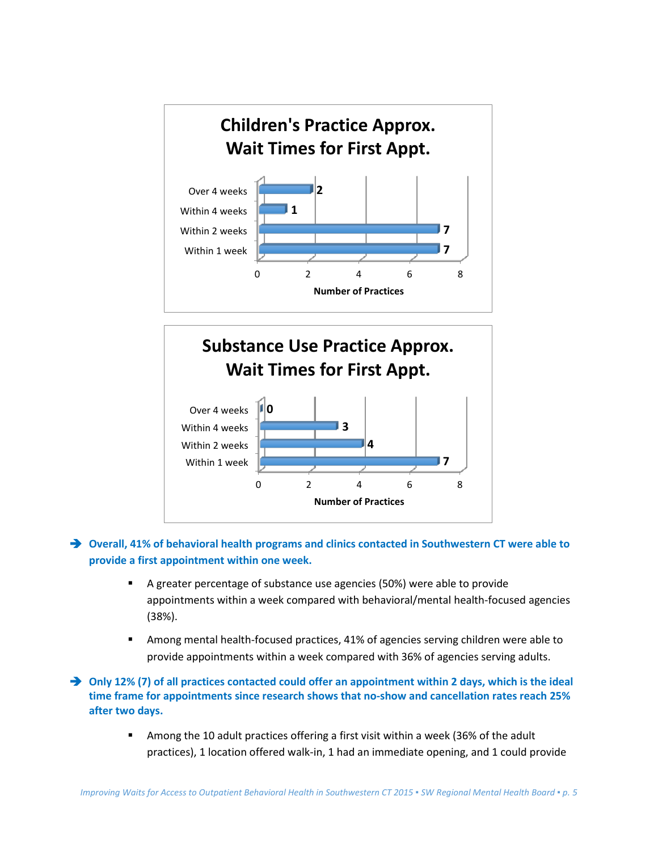



## **Overall, 41% of behavioral health programs and clinics contacted in Southwestern CT were able to provide a first appointment within one week.**

- A greater percentage of substance use agencies (50%) were able to provide appointments within a week compared with behavioral/mental health-focused agencies (38%).
- Among mental health-focused practices, 41% of agencies serving children were able to provide appointments within a week compared with 36% of agencies serving adults.

◆ Only 12% (7) of all practices contacted could offer an appointment within 2 days, which is the ideal **time frame for appointments since research shows that no-show and cancellation rates reach 25% after two days.**

> Among the 10 adult practices offering a first visit within a week (36% of the adult practices), 1 location offered walk-in, 1 had an immediate opening, and 1 could provide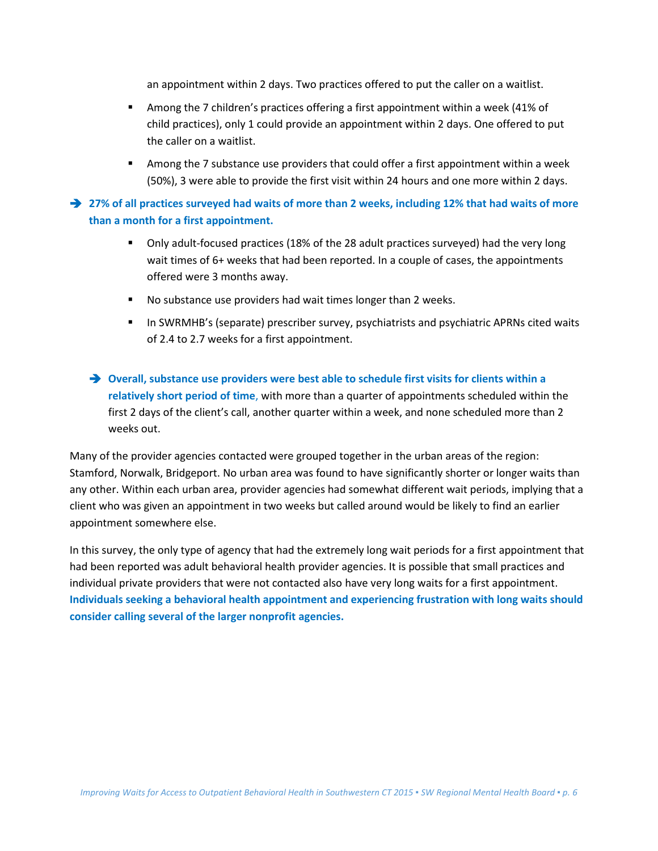an appointment within 2 days. Two practices offered to put the caller on a waitlist.

- Among the 7 children's practices offering a first appointment within a week (41% of child practices), only 1 could provide an appointment within 2 days. One offered to put the caller on a waitlist.
- Among the 7 substance use providers that could offer a first appointment within a week (50%), 3 were able to provide the first visit within 24 hours and one more within 2 days.

 **27% of all practices surveyed had waits of more than 2 weeks, including 12% that had waits of more than a month for a first appointment.** 

- Only adult-focused practices (18% of the 28 adult practices surveyed) had the very long wait times of 6+ weeks that had been reported. In a couple of cases, the appointments offered were 3 months away.
- No substance use providers had wait times longer than 2 weeks.
- **In SWRMHB's (separate) prescriber survey, psychiatrists and psychiatric APRNs cited waits** of 2.4 to 2.7 weeks for a first appointment.
- **Overall, substance use providers were best able to schedule first visits for clients within a relatively short period of time**, with more than a quarter of appointments scheduled within the first 2 days of the client's call, another quarter within a week, and none scheduled more than 2 weeks out.

Many of the provider agencies contacted were grouped together in the urban areas of the region: Stamford, Norwalk, Bridgeport. No urban area was found to have significantly shorter or longer waits than any other. Within each urban area, provider agencies had somewhat different wait periods, implying that a client who was given an appointment in two weeks but called around would be likely to find an earlier appointment somewhere else.

In this survey, the only type of agency that had the extremely long wait periods for a first appointment that had been reported was adult behavioral health provider agencies. It is possible that small practices and individual private providers that were not contacted also have very long waits for a first appointment. **Individuals seeking a behavioral health appointment and experiencing frustration with long waits should consider calling several of the larger nonprofit agencies.**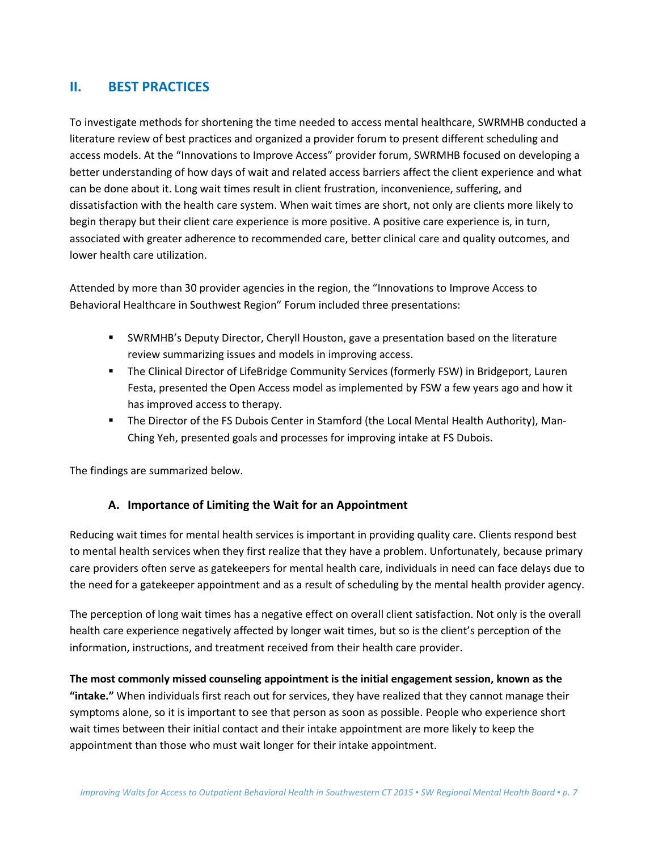# **II. BEST PRACTICES**

To investigate methods for shortening the time needed to access mental healthcare, SWRMHB conducted a literature review of best practices and organized a provider forum to present different scheduling and access models. At the "Innovations to Improve Access" provider forum, SWRMHB focused on developing a better understanding of how days of wait and related access barriers affect the client experience and what can be done about it. Long wait times result in client frustration, inconvenience, suffering, and dissatisfaction with the health care system. When wait times are short, not only are clients more likely to begin therapy but their client care experience is more positive. A positive care experience is, in turn, associated with greater adherence to recommended care, better clinical care and quality outcomes, and lower health care utilization.

Attended by more than 30 provider agencies in the region, the "Innovations to Improve Access to Behavioral Healthcare in Southwest Region" Forum included three presentations:

- SWRMHB's Deputy Director, Cheryll Houston, gave a presentation based on the literature review summarizing issues and models in improving access.
- The Clinical Director of LifeBridge Community Services (formerly FSW) in Bridgeport, Lauren Festa, presented the Open Access model as implemented by FSW a few years ago and how it has improved access to therapy.
- The Director of the FS Dubois Center in Stamford (the Local Mental Health Authority), Man-Ching Yeh, presented goals and processes for improving intake at FS Dubois.

The findings are summarized below.

## **A. Importance of Limiting the Wait for an Appointment**

Reducing wait times for mental health services is important in providing quality care. Clients respond best to mental health services when they first realize that they have a problem. Unfortunately, because primary care providers often serve as gatekeepers for mental health care, individuals in need can face delays due to the need for a gatekeeper appointment and as a result of scheduling by the mental health provider agency.

The perception of long wait times has a negative effect on overall client satisfaction. Not only is the overall health care experience negatively affected by longer wait times, but so is the client's perception of the information, instructions, and treatment received from their health care provider.

**The most commonly missed counseling appointment is the initial engagement session, known as the "intake."** When individuals first reach out for services, they have realized that they cannot manage their symptoms alone, so it is important to see that person as soon as possible. People who experience short wait times between their initial contact and their intake appointment are more likely to keep the appointment than those who must wait longer for their intake appointment.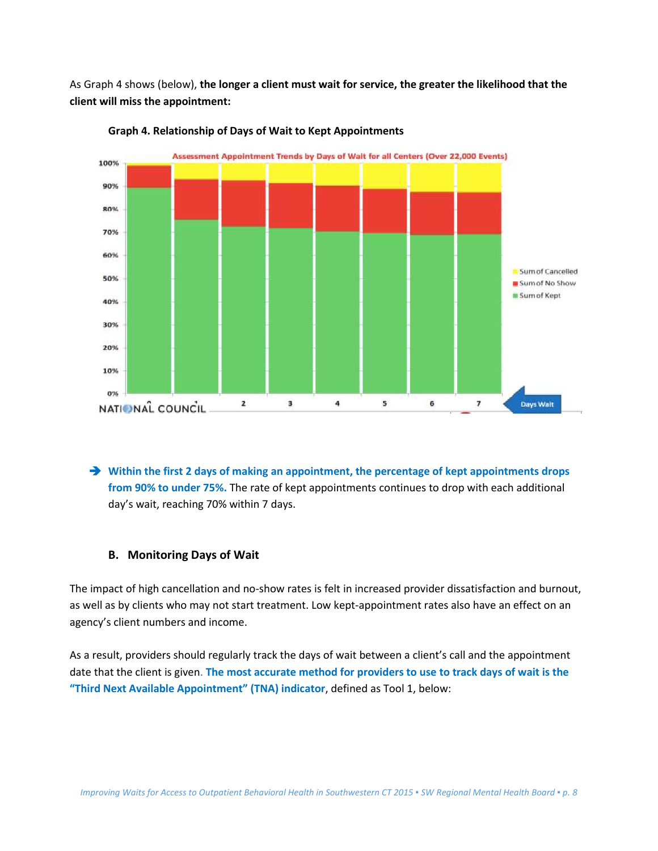As Graph 4 shows (below), **the longer a client must wait for service, the greater the likelihood that the client will miss the appointment:**



**Graph 4. Relationship of Days of Wait to Kept Appointments**

→ Within the first 2 days of making an appointment, the percentage of kept appointments drops **from 90% to under 75%.** The rate of kept appointments continues to drop with each additional day's wait, reaching 70% within 7 days.

#### **B. Monitoring Days of Wait**

The impact of high cancellation and no-show rates is felt in increased provider dissatisfaction and burnout, as well as by clients who may not start treatment. Low kept-appointment rates also have an effect on an agency's client numbers and income.

As a result, providers should regularly track the days of wait between a client's call and the appointment date that the client is given. **The most accurate method for providers to use to track days of wait is the "Third Next Available Appointment" (TNA) indicator**, defined as Tool 1, below: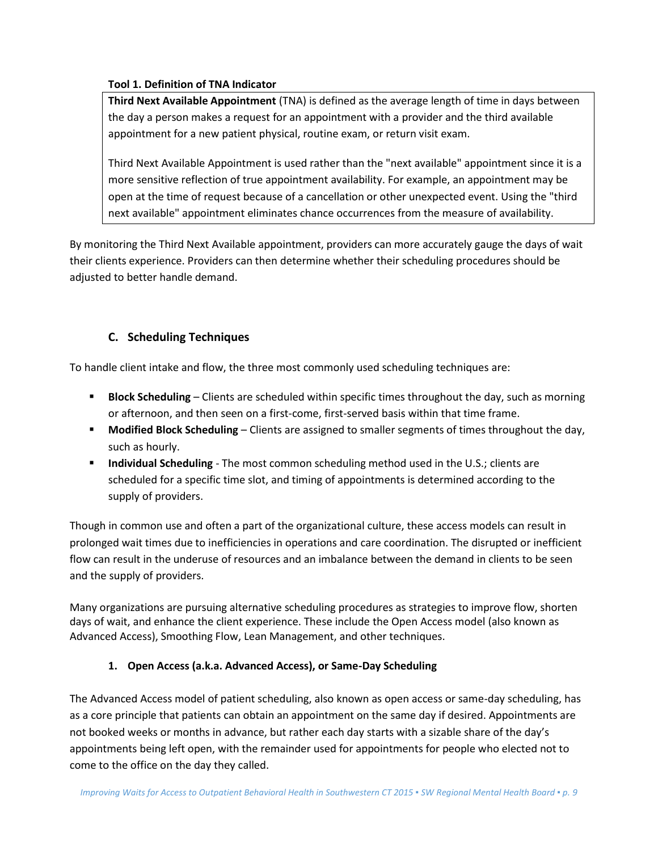### **Tool 1. Definition of TNA Indicator**

**Third Next Available Appointment** (TNA) is defined as the average length of time in days between the day a person makes a request for an appointment with a provider and the third available appointment for a new patient physical, routine exam, or return visit exam.

Third Next Available Appointment is used rather than the "next available" appointment since it is a more sensitive reflection of true appointment availability. For example, an appointment may be open at the time of request because of a cancellation or other unexpected event. Using the "third next available" appointment eliminates chance occurrences from the measure of availability.

By monitoring the Third Next Available appointment, providers can more accurately gauge the days of wait their clients experience. Providers can then determine whether their scheduling procedures should be adjusted to better handle demand.

## **C. Scheduling Techniques**

To handle client intake and flow, the three most commonly used scheduling techniques are:

- **Block Scheduling** Clients are scheduled within specific times throughout the day, such as morning or afternoon, and then seen on a first-come, first-served basis within that time frame.
- **Modified Block Scheduling** Clients are assigned to smaller segments of times throughout the day, such as hourly.
- **Individual Scheduling**  The most common scheduling method used in the U.S.; clients are scheduled for a specific time slot, and timing of appointments is determined according to the supply of providers.

Though in common use and often a part of the organizational culture, these access models can result in prolonged wait times due to inefficiencies in operations and care coordination. The disrupted or inefficient flow can result in the underuse of resources and an imbalance between the demand in clients to be seen and the supply of providers.

Many organizations are pursuing alternative scheduling procedures as strategies to improve flow, shorten days of wait, and enhance the client experience. These include the Open Access model (also known as Advanced Access), Smoothing Flow, Lean Management, and other techniques.

## **1. Open Access (a.k.a. Advanced Access), or Same-Day Scheduling**

The Advanced Access model of patient scheduling, also known as open access or same-day scheduling, has as a core principle that patients can obtain an appointment on the same day if desired. Appointments are not booked weeks or months in advance, but rather each day starts with a sizable share of the day's appointments being left open, with the remainder used for appointments for people who elected not to come to the office on the day they called.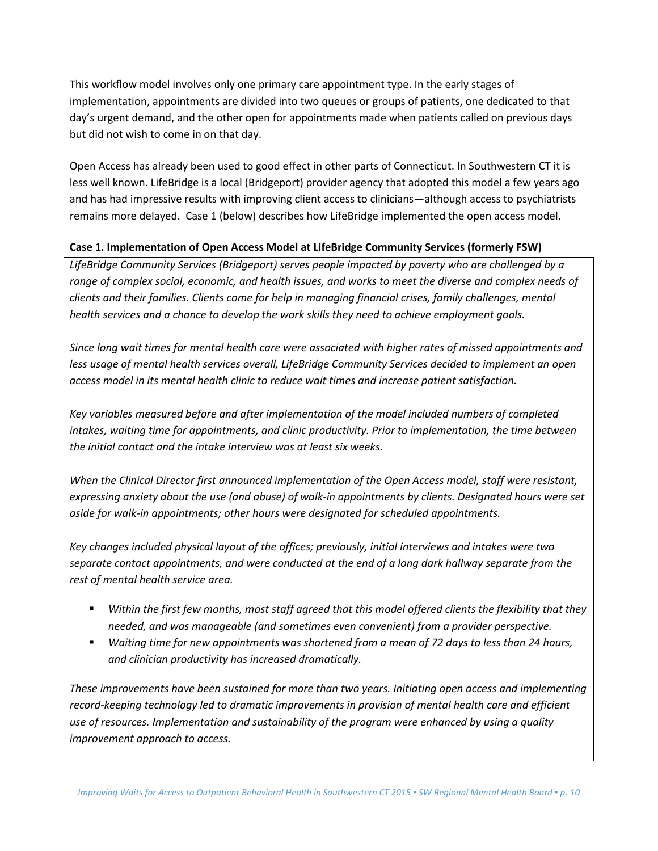This workflow model involves only one primary care appointment type. In the early stages of implementation, appointments are divided into two queues or groups of patients, one dedicated to that day's urgent demand, and the other open for appointments made when patients called on previous days but did not wish to come in on that day.

Open Access has already been used to good effect in other parts of Connecticut. In Southwestern CT it is less well known. LifeBridge is a local (Bridgeport) provider agency that adopted this model a few years ago and has had impressive results with improving client access to clinicians—although access to psychiatrists remains more delayed. Case 1 (below) describes how LifeBridge implemented the open access model.

## **Case 1. Implementation of Open Access Model at LifeBridge Community Services (formerly FSW)**

*LifeBridge Community Services (Bridgeport) serves people impacted by poverty who are challenged by a range of complex social, economic, and health issues, and works to meet the diverse and complex needs of clients and their families. Clients come for help in managing financial crises, family challenges, mental health services and a chance to develop the work skills they need to achieve employment goals.* 

*Since long wait times for mental health care were associated with higher rates of missed appointments and less usage of mental health services overall, LifeBridge Community Services decided to implement an open access model in its mental health clinic to reduce wait times and increase patient satisfaction.* 

*Key variables measured before and after implementation of the model included numbers of completed intakes, waiting time for appointments, and clinic productivity. Prior to implementation, the time between the initial contact and the intake interview was at least six weeks.*

*When the Clinical Director first announced implementation of the Open Access model, staff were resistant, expressing anxiety about the use (and abuse) of walk-in appointments by clients. Designated hours were set aside for walk-in appointments; other hours were designated for scheduled appointments.* 

*Key changes included physical layout of the offices; previously, initial interviews and intakes were two separate contact appointments, and were conducted at the end of a long dark hallway separate from the rest of mental health service area.* 

- *Within the first few months, most staff agreed that this model offered clients the flexibility that they needed, and was manageable (and sometimes even convenient) from a provider perspective.*
- Waiting time for new appointments was shortened from a mean of 72 days to less than 24 hours, *and clinician productivity has increased dramatically.*

*These improvements have been sustained for more than two years. Initiating open access and implementing record-keeping technology led to dramatic improvements in provision of mental health care and efficient use of resources. Implementation and sustainability of the program were enhanced by using a quality improvement approach to access.*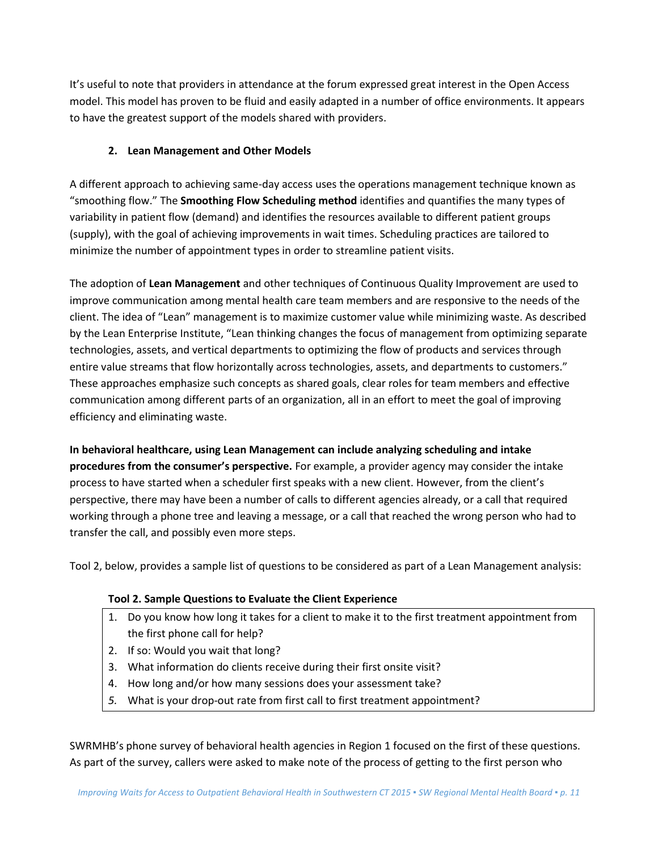It's useful to note that providers in attendance at the forum expressed great interest in the Open Access model. This model has proven to be fluid and easily adapted in a number of office environments. It appears to have the greatest support of the models shared with providers.

## **2. Lean Management and Other Models**

A different approach to achieving same-day access uses the operations management technique known as "smoothing flow." The **Smoothing Flow Scheduling method** identifies and quantifies the many types of variability in patient flow (demand) and identifies the resources available to different patient groups (supply), with the goal of achieving improvements in wait times. Scheduling practices are tailored to minimize the number of appointment types in order to streamline patient visits.

The adoption of **Lean Management** and other techniques of Continuous Quality Improvement are used to improve communication among mental health care team members and are responsive to the needs of the client. The idea of "Lean" management is to maximize customer value while minimizing waste. As described by the Lean Enterprise Institute, "Lean thinking changes the focus of management from optimizing separate technologies, assets, and vertical departments to optimizing the flow of products and services through entire value streams that flow horizontally across technologies, assets, and departments to customers." These approaches emphasize such concepts as shared goals, clear roles for team members and effective communication among different parts of an organization, all in an effort to meet the goal of improving efficiency and eliminating waste.

**In behavioral healthcare, using Lean Management can include analyzing scheduling and intake procedures from the consumer's perspective.** For example, a provider agency may consider the intake process to have started when a scheduler first speaks with a new client. However, from the client's perspective, there may have been a number of calls to different agencies already, or a call that required working through a phone tree and leaving a message, or a call that reached the wrong person who had to transfer the call, and possibly even more steps.

Tool 2, below, provides a sample list of questions to be considered as part of a Lean Management analysis:

## **Tool 2. Sample Questions to Evaluate the Client Experience**

- 1. Do you know how long it takes for a client to make it to the first treatment appointment from the first phone call for help?
- 2. If so: Would you wait that long?
- 3. What information do clients receive during their first onsite visit?
- 4. How long and/or how many sessions does your assessment take?
- *5.* What is your drop-out rate from first call to first treatment appointment?

SWRMHB's phone survey of behavioral health agencies in Region 1 focused on the first of these questions. As part of the survey, callers were asked to make note of the process of getting to the first person who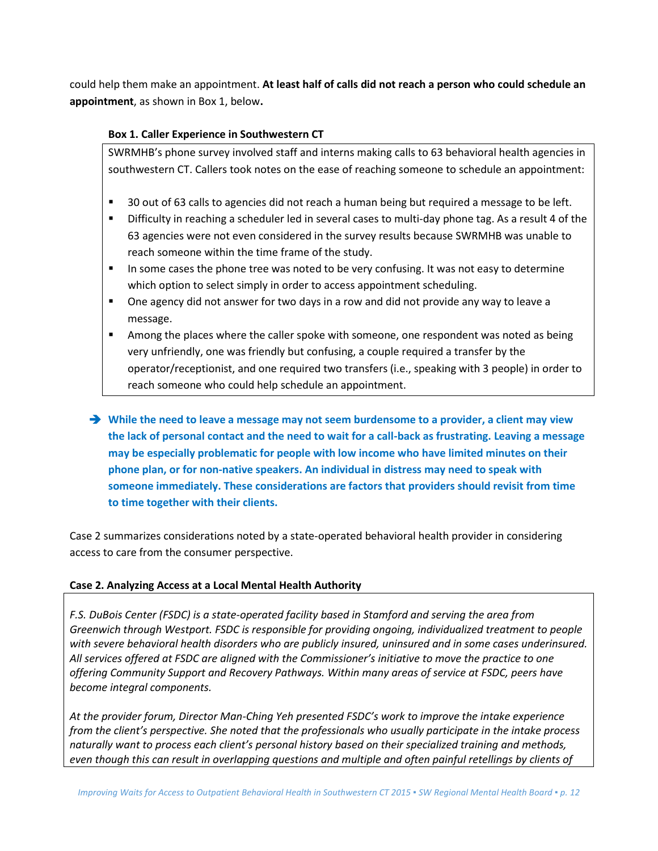could help them make an appointment. **At least half of calls did not reach a person who could schedule an appointment**, as shown in Box 1, below**.**

## **Box 1. Caller Experience in Southwestern CT**

SWRMHB's phone survey involved staff and interns making calls to 63 behavioral health agencies in southwestern CT. Callers took notes on the ease of reaching someone to schedule an appointment:

- 30 out of 63 calls to agencies did not reach a human being but required a message to be left.
- **F** Difficulty in reaching a scheduler led in several cases to multi-day phone tag. As a result 4 of the 63 agencies were not even considered in the survey results because SWRMHB was unable to reach someone within the time frame of the study.
- In some cases the phone tree was noted to be very confusing. It was not easy to determine which option to select simply in order to access appointment scheduling.
- One agency did not answer for two days in a row and did not provide any way to leave a message.
- **Among the places where the caller spoke with someone, one respondent was noted as being** very unfriendly, one was friendly but confusing, a couple required a transfer by the operator/receptionist, and one required two transfers (i.e., speaking with 3 people) in order to reach someone who could help schedule an appointment.
- **While the need to leave a message may not seem burdensome to a provider, a client may view the lack of personal contact and the need to wait for a call-back as frustrating. Leaving a message may be especially problematic for people with low income who have limited minutes on their phone plan, or for non-native speakers. An individual in distress may need to speak with someone immediately. These considerations are factors that providers should revisit from time to time together with their clients.**

Case 2 summarizes considerations noted by a state-operated behavioral health provider in considering access to care from the consumer perspective.

#### **Case 2. Analyzing Access at a Local Mental Health Authority**

*F.S. DuBois Center (FSDC) is a state-operated facility based in Stamford and serving the area from Greenwich through Westport. FSDC is responsible for providing ongoing, individualized treatment to people with severe behavioral health disorders who are publicly insured, uninsured and in some cases underinsured. All services offered at FSDC are aligned with the Commissioner's initiative to move the practice to one offering Community Support and Recovery Pathways. Within many areas of service at FSDC, peers have become integral components.* 

*At the provider forum, Director Man-Ching Yeh presented FSDC's work to improve the intake experience from the client's perspective. She noted that the professionals who usually participate in the intake process naturally want to process each client's personal history based on their specialized training and methods, even though this can result in overlapping questions and multiple and often painful retellings by clients of*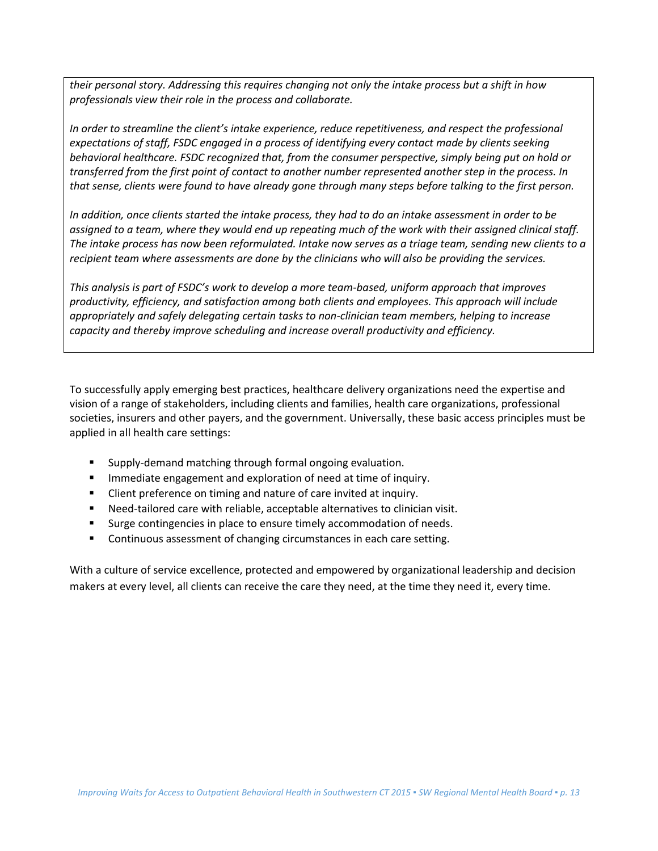*their personal story. Addressing this requires changing not only the intake process but a shift in how professionals view their role in the process and collaborate.* 

*In order to streamline the client's intake experience, reduce repetitiveness, and respect the professional expectations of staff, FSDC engaged in a process of identifying every contact made by clients seeking behavioral healthcare. FSDC recognized that, from the consumer perspective, simply being put on hold or transferred from the first point of contact to another number represented another step in the process. In that sense, clients were found to have already gone through many steps before talking to the first person.* 

*In addition, once clients started the intake process, they had to do an intake assessment in order to be assigned to a team, where they would end up repeating much of the work with their assigned clinical staff. The intake process has now been reformulated. Intake now serves as a triage team, sending new clients to a recipient team where assessments are done by the clinicians who will also be providing the services.* 

*This analysis is part of FSDC's work to develop a more team-based, uniform approach that improves productivity, efficiency, and satisfaction among both clients and employees. This approach will include appropriately and safely delegating certain tasks to non-clinician team members, helping to increase capacity and thereby improve scheduling and increase overall productivity and efficiency.*

To successfully apply emerging best practices, healthcare delivery organizations need the expertise and vision of a range of stakeholders, including clients and families, health care organizations, professional societies, insurers and other payers, and the government. Universally, these basic access principles must be applied in all health care settings:

- Supply-demand matching through formal ongoing evaluation.
- **IMMEDIATE:** Immediate engagement and exploration of need at time of inquiry.
- **EXECT** Client preference on timing and nature of care invited at inquiry.
- Need-tailored care with reliable, acceptable alternatives to clinician visit.
- **Surge contingencies in place to ensure timely accommodation of needs.**
- **Continuous assessment of changing circumstances in each care setting.**

With a culture of service excellence, protected and empowered by organizational leadership and decision makers at every level, all clients can receive the care they need, at the time they need it, every time.